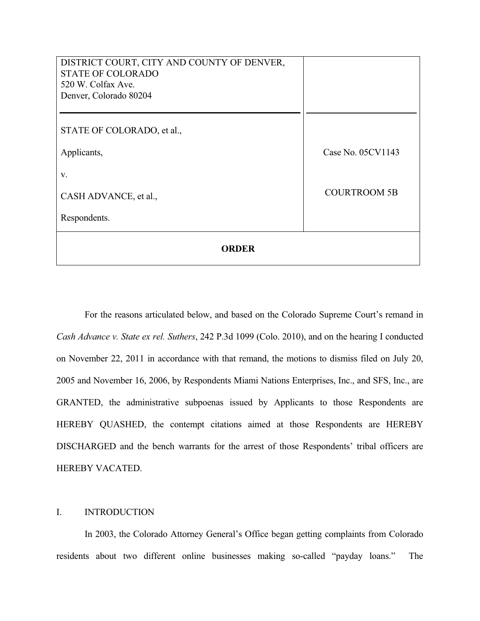| DISTRICT COURT, CITY AND COUNTY OF DENVER,<br><b>STATE OF COLORADO</b><br>520 W. Colfax Ave. |                     |
|----------------------------------------------------------------------------------------------|---------------------|
| Denver, Colorado 80204                                                                       |                     |
|                                                                                              |                     |
| STATE OF COLORADO, et al.,                                                                   |                     |
| Applicants,                                                                                  | Case No. 05CV1143   |
| V.                                                                                           |                     |
| CASH ADVANCE, et al.,                                                                        | <b>COURTROOM 5B</b> |
| Respondents.                                                                                 |                     |
| <b>ORDER</b>                                                                                 |                     |

 For the reasons articulated below, and based on the Colorado Supreme Court's remand in *Cash Advance v. State ex rel. Suthers*, 242 P.3d 1099 (Colo. 2010), and on the hearing I conducted on November 22, 2011 in accordance with that remand, the motions to dismiss filed on July 20, 2005 and November 16, 2006, by Respondents Miami Nations Enterprises, Inc., and SFS, Inc., are GRANTED, the administrative subpoenas issued by Applicants to those Respondents are HEREBY QUASHED, the contempt citations aimed at those Respondents are HEREBY DISCHARGED and the bench warrants for the arrest of those Respondents' tribal officers are HEREBY VACATED.

### I. INTRODUCTION

 In 2003, the Colorado Attorney General's Office began getting complaints from Colorado residents about two different online businesses making so-called "payday loans." The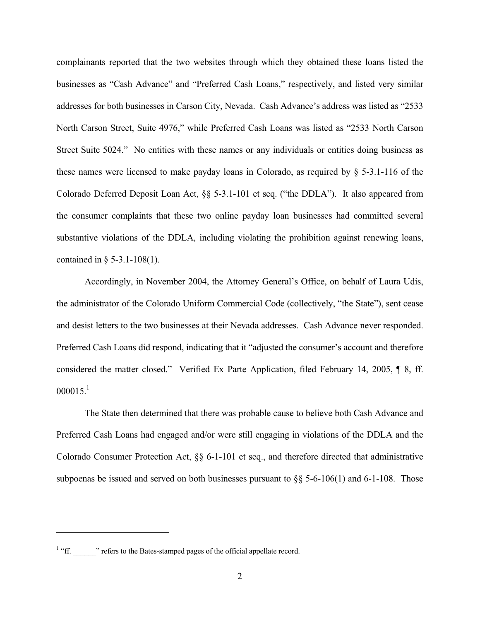complainants reported that the two websites through which they obtained these loans listed the businesses as "Cash Advance" and "Preferred Cash Loans," respectively, and listed very similar addresses for both businesses in Carson City, Nevada. Cash Advance's address was listed as "2533 North Carson Street, Suite 4976," while Preferred Cash Loans was listed as "2533 North Carson Street Suite 5024." No entities with these names or any individuals or entities doing business as these names were licensed to make payday loans in Colorado, as required by  $\S$  5-3.1-116 of the Colorado Deferred Deposit Loan Act, §§ 5-3.1-101 et seq. ("the DDLA"). It also appeared from the consumer complaints that these two online payday loan businesses had committed several substantive violations of the DDLA, including violating the prohibition against renewing loans, contained in § 5-3.1-108(1).

 Accordingly, in November 2004, the Attorney General's Office, on behalf of Laura Udis, the administrator of the Colorado Uniform Commercial Code (collectively, "the State"), sent cease and desist letters to the two businesses at their Nevada addresses. Cash Advance never responded. Preferred Cash Loans did respond, indicating that it "adjusted the consumer's account and therefore considered the matter closed." Verified Ex Parte Application, filed February 14, 2005, ¶ 8, ff.  $000015.<sup>1</sup>$ 

 The State then determined that there was probable cause to believe both Cash Advance and Preferred Cash Loans had engaged and/or were still engaging in violations of the DDLA and the Colorado Consumer Protection Act, §§ 6-1-101 et seq., and therefore directed that administrative subpoenas be issued and served on both businesses pursuant to  $\S$ § 5-6-106(1) and 6-1-108. Those

<sup>&</sup>lt;sup>1</sup> "ff. \_\_\_\_\_\_" refers to the Bates-stamped pages of the official appellate record.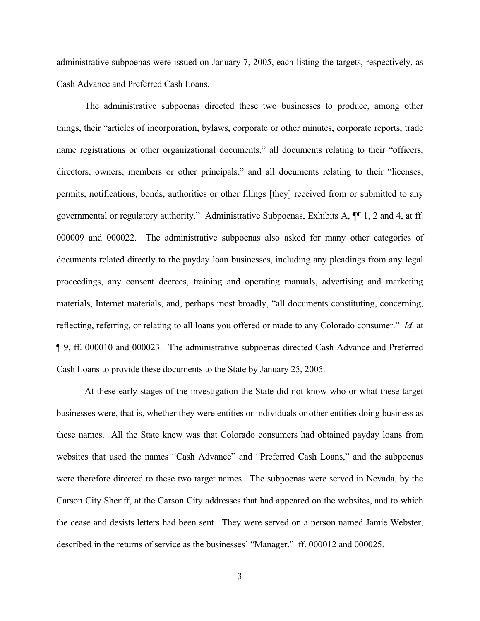administrative subpoenas were issued on January 7, 2005, each listing the targets, respectively, as Cash Advance and Preferred Cash Loans.

 The administrative subpoenas directed these two businesses to produce, among other things, their "articles of incorporation, bylaws, corporate or other minutes, corporate reports, trade name registrations or other organizational documents," all documents relating to their "officers, directors, owners, members or other principals," and all documents relating to their "licenses, permits, notifications, bonds, authorities or other filings [they] received from or submitted to any governmental or regulatory authority." Administrative Subpoenas, Exhibits A, ¶¶ 1, 2 and 4, at ff. 000009 and 000022. The administrative subpoenas also asked for many other categories of documents related directly to the payday loan businesses, including any pleadings from any legal proceedings, any consent decrees, training and operating manuals, advertising and marketing materials, Internet materials, and, perhaps most broadly, "all documents constituting, concerning, reflecting, referring, or relating to all loans you offered or made to any Colorado consumer." *Id*. at ¶ 9, ff. 000010 and 000023. The administrative subpoenas directed Cash Advance and Preferred Cash Loans to provide these documents to the State by January 25, 2005.

 At these early stages of the investigation the State did not know who or what these target businesses were, that is, whether they were entities or individuals or other entities doing business as these names. All the State knew was that Colorado consumers had obtained payday loans from websites that used the names "Cash Advance" and "Preferred Cash Loans," and the subpoenas were therefore directed to these two target names. The subpoenas were served in Nevada, by the Carson City Sheriff, at the Carson City addresses that had appeared on the websites, and to which the cease and desists letters had been sent. They were served on a person named Jamie Webster, described in the returns of service as the businesses' "Manager." ff. 000012 and 000025.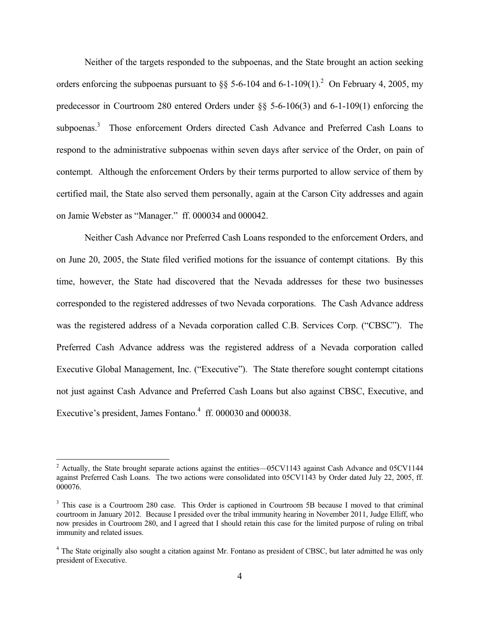Neither of the targets responded to the subpoenas, and the State brought an action seeking orders enforcing the subpoenas pursuant to  $\S$  5-6-104 and 6-1-109(1).<sup>2</sup> On February 4, 2005, my predecessor in Courtroom 280 entered Orders under §§ 5-6-106(3) and 6-1-109(1) enforcing the subpoenas.<sup>3</sup> Those enforcement Orders directed Cash Advance and Preferred Cash Loans to respond to the administrative subpoenas within seven days after service of the Order, on pain of contempt. Although the enforcement Orders by their terms purported to allow service of them by certified mail, the State also served them personally, again at the Carson City addresses and again on Jamie Webster as "Manager." ff. 000034 and 000042.

 Neither Cash Advance nor Preferred Cash Loans responded to the enforcement Orders, and on June 20, 2005, the State filed verified motions for the issuance of contempt citations. By this time, however, the State had discovered that the Nevada addresses for these two businesses corresponded to the registered addresses of two Nevada corporations. The Cash Advance address was the registered address of a Nevada corporation called C.B. Services Corp. ("CBSC"). The Preferred Cash Advance address was the registered address of a Nevada corporation called Executive Global Management, Inc. ("Executive"). The State therefore sought contempt citations not just against Cash Advance and Preferred Cash Loans but also against CBSC, Executive, and Executive's president, James Fontano. $4 \text{ ff. } 000030$  and  $000038$ .

 $2$  Actually, the State brought separate actions against the entities—05CV1143 against Cash Advance and 05CV1144 against Preferred Cash Loans. The two actions were consolidated into 05CV1143 by Order dated July 22, 2005, ff. 000076.

<sup>&</sup>lt;sup>3</sup> This case is a Courtroom 280 case. This Order is captioned in Courtroom 5B because I moved to that criminal courtroom in January 2012. Because I presided over the tribal immunity hearing in November 2011, Judge Elliff, who now presides in Courtroom 280, and I agreed that I should retain this case for the limited purpose of ruling on tribal immunity and related issues.

<sup>&</sup>lt;sup>4</sup> The State originally also sought a citation against Mr. Fontano as president of CBSC, but later admitted he was only president of Executive.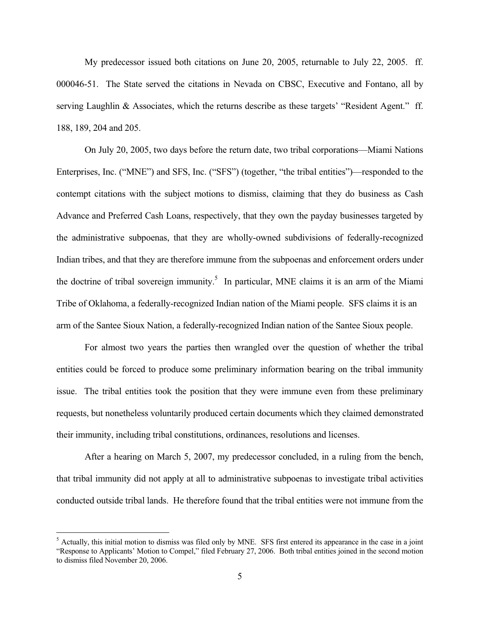My predecessor issued both citations on June 20, 2005, returnable to July 22, 2005. ff. 000046-51. The State served the citations in Nevada on CBSC, Executive and Fontano, all by serving Laughlin & Associates, which the returns describe as these targets' "Resident Agent." ff. 188, 189, 204 and 205.

 On July 20, 2005, two days before the return date, two tribal corporations—Miami Nations Enterprises, Inc. ("MNE") and SFS, Inc. ("SFS") (together, "the tribal entities")—responded to the contempt citations with the subject motions to dismiss, claiming that they do business as Cash Advance and Preferred Cash Loans, respectively, that they own the payday businesses targeted by the administrative subpoenas, that they are wholly-owned subdivisions of federally-recognized Indian tribes, and that they are therefore immune from the subpoenas and enforcement orders under the doctrine of tribal sovereign immunity.<sup>5</sup> In particular, MNE claims it is an arm of the Miami Tribe of Oklahoma, a federally-recognized Indian nation of the Miami people. SFS claims it is an arm of the Santee Sioux Nation, a federally-recognized Indian nation of the Santee Sioux people.

 For almost two years the parties then wrangled over the question of whether the tribal entities could be forced to produce some preliminary information bearing on the tribal immunity issue. The tribal entities took the position that they were immune even from these preliminary requests, but nonetheless voluntarily produced certain documents which they claimed demonstrated their immunity, including tribal constitutions, ordinances, resolutions and licenses.

 After a hearing on March 5, 2007, my predecessor concluded, in a ruling from the bench, that tribal immunity did not apply at all to administrative subpoenas to investigate tribal activities conducted outside tribal lands. He therefore found that the tribal entities were not immune from the

<sup>&</sup>lt;sup>5</sup> Actually, this initial motion to dismiss was filed only by MNE. SFS first entered its appearance in the case in a joint "Response to Applicants' Motion to Compel," filed February 27, 2006. Both tribal entities joined in the second motion to dismiss filed November 20, 2006.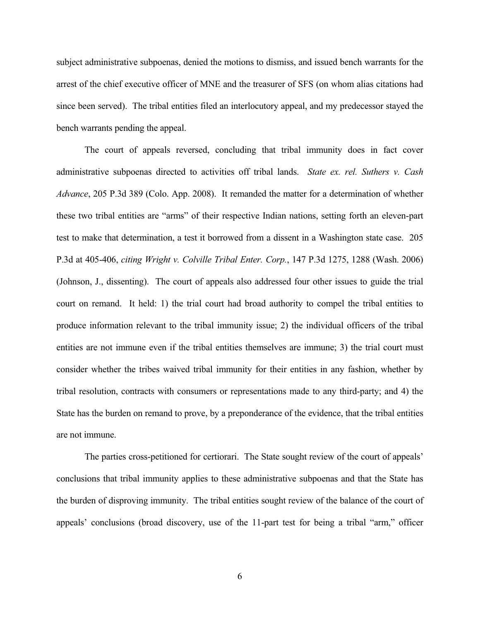subject administrative subpoenas, denied the motions to dismiss, and issued bench warrants for the arrest of the chief executive officer of MNE and the treasurer of SFS (on whom alias citations had since been served). The tribal entities filed an interlocutory appeal, and my predecessor stayed the bench warrants pending the appeal.

 The court of appeals reversed, concluding that tribal immunity does in fact cover administrative subpoenas directed to activities off tribal lands. *State ex. rel. Suthers v. Cash Advance*, 205 P.3d 389 (Colo. App. 2008). It remanded the matter for a determination of whether these two tribal entities are "arms" of their respective Indian nations, setting forth an eleven-part test to make that determination, a test it borrowed from a dissent in a Washington state case. 205 P.3d at 405-406, *citing Wright v. Colville Tribal Enter. Corp.*, 147 P.3d 1275, 1288 (Wash. 2006) (Johnson, J., dissenting). The court of appeals also addressed four other issues to guide the trial court on remand. It held: 1) the trial court had broad authority to compel the tribal entities to produce information relevant to the tribal immunity issue; 2) the individual officers of the tribal entities are not immune even if the tribal entities themselves are immune; 3) the trial court must consider whether the tribes waived tribal immunity for their entities in any fashion, whether by tribal resolution, contracts with consumers or representations made to any third-party; and 4) the State has the burden on remand to prove, by a preponderance of the evidence, that the tribal entities are not immune.

 The parties cross-petitioned for certiorari. The State sought review of the court of appeals' conclusions that tribal immunity applies to these administrative subpoenas and that the State has the burden of disproving immunity. The tribal entities sought review of the balance of the court of appeals' conclusions (broad discovery, use of the 11-part test for being a tribal "arm," officer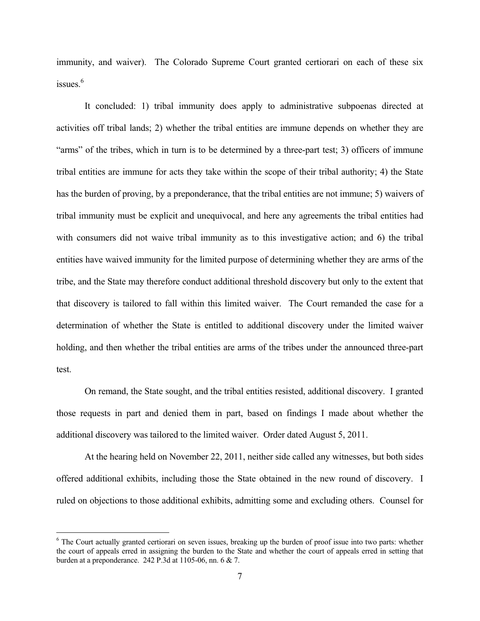immunity, and waiver). The Colorado Supreme Court granted certiorari on each of these six issues $6$ 

 It concluded: 1) tribal immunity does apply to administrative subpoenas directed at activities off tribal lands; 2) whether the tribal entities are immune depends on whether they are "arms" of the tribes, which in turn is to be determined by a three-part test; 3) officers of immune tribal entities are immune for acts they take within the scope of their tribal authority; 4) the State has the burden of proving, by a preponderance, that the tribal entities are not immune; 5) waivers of tribal immunity must be explicit and unequivocal, and here any agreements the tribal entities had with consumers did not waive tribal immunity as to this investigative action; and 6) the tribal entities have waived immunity for the limited purpose of determining whether they are arms of the tribe, and the State may therefore conduct additional threshold discovery but only to the extent that that discovery is tailored to fall within this limited waiver. The Court remanded the case for a determination of whether the State is entitled to additional discovery under the limited waiver holding, and then whether the tribal entities are arms of the tribes under the announced three-part test.

 On remand, the State sought, and the tribal entities resisted, additional discovery. I granted those requests in part and denied them in part, based on findings I made about whether the additional discovery was tailored to the limited waiver. Order dated August 5, 2011.

 At the hearing held on November 22, 2011, neither side called any witnesses, but both sides offered additional exhibits, including those the State obtained in the new round of discovery. I ruled on objections to those additional exhibits, admitting some and excluding others. Counsel for

<sup>&</sup>lt;sup>6</sup> The Court actually granted certiorari on seven issues, breaking up the burden of proof issue into two parts: whether the court of appeals erred in assigning the burden to the State and whether the court of appeals erred in setting that burden at a preponderance. 242 P.3d at 1105-06, nn. 6 & 7.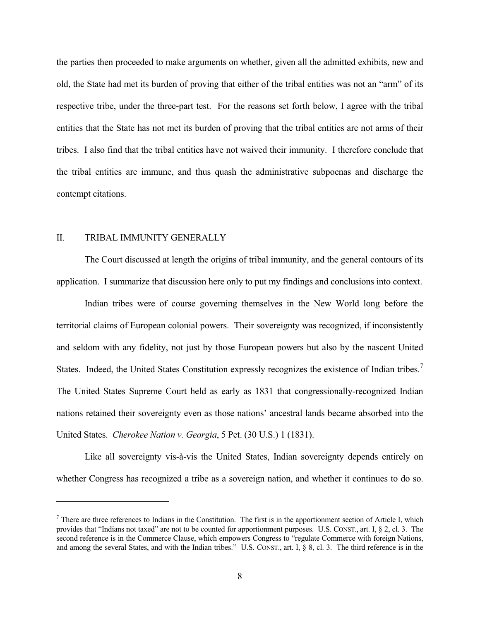the parties then proceeded to make arguments on whether, given all the admitted exhibits, new and old, the State had met its burden of proving that either of the tribal entities was not an "arm" of its respective tribe, under the three-part test. For the reasons set forth below, I agree with the tribal entities that the State has not met its burden of proving that the tribal entities are not arms of their tribes. I also find that the tribal entities have not waived their immunity. I therefore conclude that the tribal entities are immune, and thus quash the administrative subpoenas and discharge the contempt citations.

# II. TRIBAL IMMUNITY GENERALLY

 The Court discussed at length the origins of tribal immunity, and the general contours of its application. I summarize that discussion here only to put my findings and conclusions into context.

 Indian tribes were of course governing themselves in the New World long before the territorial claims of European colonial powers. Their sovereignty was recognized, if inconsistently and seldom with any fidelity, not just by those European powers but also by the nascent United States. Indeed, the United States Constitution expressly recognizes the existence of Indian tribes.<sup>7</sup> The United States Supreme Court held as early as 1831 that congressionally-recognized Indian nations retained their sovereignty even as those nations' ancestral lands became absorbed into the United States. *Cherokee Nation v. Georgia*, 5 Pet. (30 U.S.) 1 (1831).

 Like all sovereignty vis-à-vis the United States, Indian sovereignty depends entirely on whether Congress has recognized a tribe as a sovereign nation, and whether it continues to do so.

 $<sup>7</sup>$  There are three references to Indians in the Constitution. The first is in the apportionment section of Article I, which</sup> provides that "Indians not taxed" are not to be counted for apportionment purposes. U.S. CONST., art. I, § 2, cl. 3. The second reference is in the Commerce Clause, which empowers Congress to "regulate Commerce with foreign Nations, and among the several States, and with the Indian tribes." U.S. CONST., art. I, § 8, cl. 3. The third reference is in the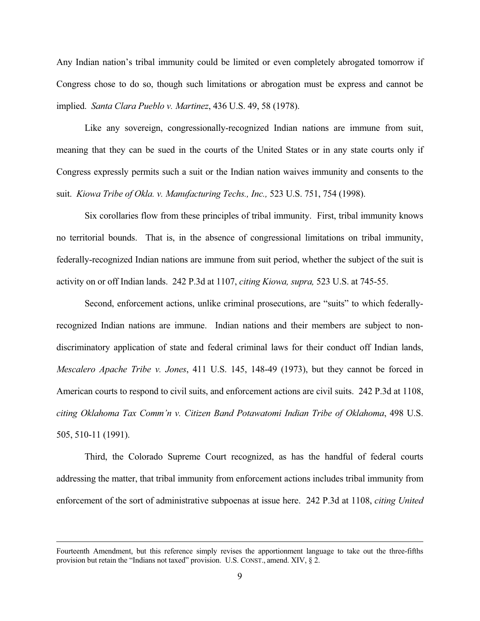Any Indian nation's tribal immunity could be limited or even completely abrogated tomorrow if Congress chose to do so, though such limitations or abrogation must be express and cannot be implied. *Santa Clara Pueblo v. Martinez*, 436 U.S. 49, 58 (1978).

 Like any sovereign, congressionally-recognized Indian nations are immune from suit, meaning that they can be sued in the courts of the United States or in any state courts only if Congress expressly permits such a suit or the Indian nation waives immunity and consents to the suit. *Kiowa Tribe of Okla. v. Manufacturing Techs., Inc.,* 523 U.S. 751, 754 (1998).

 Six corollaries flow from these principles of tribal immunity. First, tribal immunity knows no territorial bounds. That is, in the absence of congressional limitations on tribal immunity, federally-recognized Indian nations are immune from suit period, whether the subject of the suit is activity on or off Indian lands. 242 P.3d at 1107, *citing Kiowa, supra,* 523 U.S. at 745-55.

 Second, enforcement actions, unlike criminal prosecutions, are "suits" to which federallyrecognized Indian nations are immune. Indian nations and their members are subject to nondiscriminatory application of state and federal criminal laws for their conduct off Indian lands, *Mescalero Apache Tribe v. Jones*, 411 U.S. 145, 148-49 (1973), but they cannot be forced in American courts to respond to civil suits, and enforcement actions are civil suits. 242 P.3d at 1108, *citing Oklahoma Tax Comm'n v. Citizen Band Potawatomi Indian Tribe of Oklahoma*, 498 U.S. 505, 510-11 (1991).

 Third, the Colorado Supreme Court recognized, as has the handful of federal courts addressing the matter, that tribal immunity from enforcement actions includes tribal immunity from enforcement of the sort of administrative subpoenas at issue here. 242 P.3d at 1108, *citing United* 

Fourteenth Amendment, but this reference simply revises the apportionment language to take out the three-fifths provision but retain the "Indians not taxed" provision. U.S. CONST., amend. XIV, § 2.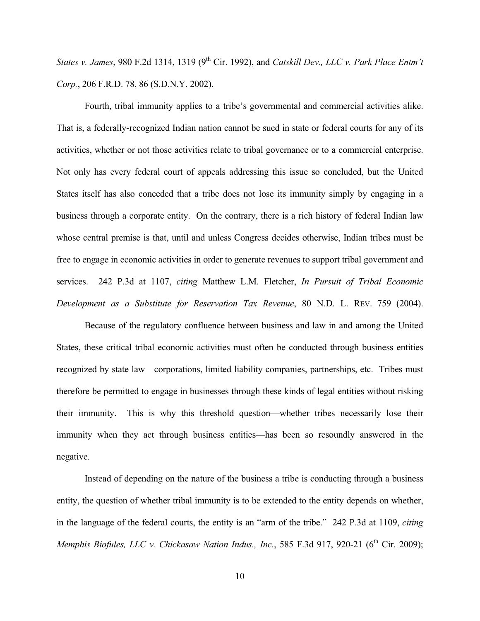*States v. James, 980 F.2d 1314, 1319 (9<sup>th</sup> Cir. 1992), and <i>Catskill Dev., LLC v. Park Place Entm't Corp.*, 206 F.R.D. 78, 86 (S.D.N.Y. 2002).

 Fourth, tribal immunity applies to a tribe's governmental and commercial activities alike. That is, a federally-recognized Indian nation cannot be sued in state or federal courts for any of its activities, whether or not those activities relate to tribal governance or to a commercial enterprise. Not only has every federal court of appeals addressing this issue so concluded, but the United States itself has also conceded that a tribe does not lose its immunity simply by engaging in a business through a corporate entity. On the contrary, there is a rich history of federal Indian law whose central premise is that, until and unless Congress decides otherwise, Indian tribes must be free to engage in economic activities in order to generate revenues to support tribal government and services. 242 P.3d at 1107, *citing* Matthew L.M. Fletcher, *In Pursuit of Tribal Economic Development as a Substitute for Reservation Tax Revenue*, 80 N.D. L. REV. 759 (2004).

 Because of the regulatory confluence between business and law in and among the United States, these critical tribal economic activities must often be conducted through business entities recognized by state law—corporations, limited liability companies, partnerships, etc. Tribes must therefore be permitted to engage in businesses through these kinds of legal entities without risking their immunity. This is why this threshold question—whether tribes necessarily lose their immunity when they act through business entities—has been so resoundly answered in the negative.

 Instead of depending on the nature of the business a tribe is conducting through a business entity, the question of whether tribal immunity is to be extended to the entity depends on whether, in the language of the federal courts, the entity is an "arm of the tribe." 242 P.3d at 1109, *citing Memphis Biofules, LLC v. Chickasaw Nation Indus., Inc.*, 585 F.3d 917, 920-21 (6<sup>th</sup> Cir. 2009);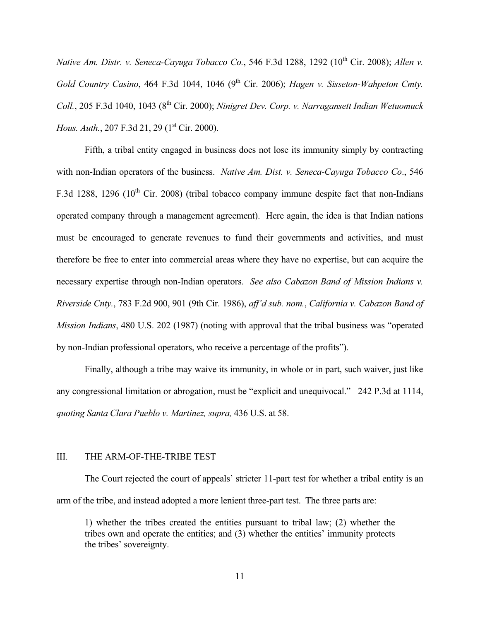*Native Am. Distr. v. Seneca-Cayuga Tobacco Co.*, 546 F.3d 1288, 1292 (10<sup>th</sup> Cir. 2008); *Allen v. Gold Country Casino*, 464 F.3d 1044, 1046 (9<sup>th</sup> Cir. 2006); *Hagen v. Sisseton-Wahpeton Cmty. Coll.*, 205 F.3d 1040, 1043 (8<sup>th</sup> Cir. 2000); *Ninigret Dev. Corp. v. Narragansett Indian Wetuomuck Hous. Auth.*, 207 F.3d 21, 29 (1<sup>st</sup> Cir. 2000).

 Fifth, a tribal entity engaged in business does not lose its immunity simply by contracting with non-Indian operators of the business. *Native Am. Dist. v. Seneca-Cayuga Tobacco Co*., 546 F.3d 1288, 1296 (10<sup>th</sup> Cir. 2008) (tribal tobacco company immune despite fact that non-Indians operated company through a management agreement). Here again, the idea is that Indian nations must be encouraged to generate revenues to fund their governments and activities, and must therefore be free to enter into commercial areas where they have no expertise, but can acquire the necessary expertise through non-Indian operators. *See also Cabazon Band of Mission Indians v. Riverside Cnty.*, 783 F.2d 900, 901 (9th Cir. 1986), *aff'd sub. nom.*, *California v. Cabazon Band of Mission Indians*, 480 U.S. 202 (1987) (noting with approval that the tribal business was "operated by non-Indian professional operators, who receive a percentage of the profits").

 Finally, although a tribe may waive its immunity, in whole or in part, such waiver, just like any congressional limitation or abrogation, must be "explicit and unequivocal." 242 P.3d at 1114, *quoting Santa Clara Pueblo v. Martinez, supra,* 436 U.S. at 58.

### III. THE ARM-OF-THE-TRIBE TEST

 The Court rejected the court of appeals' stricter 11-part test for whether a tribal entity is an arm of the tribe, and instead adopted a more lenient three-part test. The three parts are:

1) whether the tribes created the entities pursuant to tribal law; (2) whether the tribes own and operate the entities; and (3) whether the entities' immunity protects the tribes' sovereignty.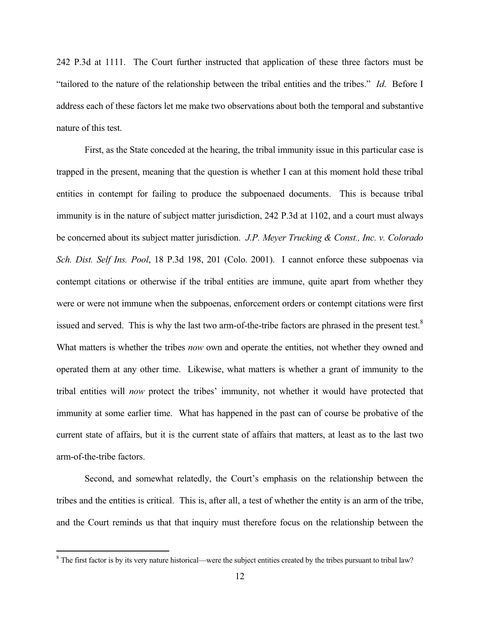242 P.3d at 1111. The Court further instructed that application of these three factors must be "tailored to the nature of the relationship between the tribal entities and the tribes." *Id*. Before I address each of these factors let me make two observations about both the temporal and substantive nature of this test.

 First, as the State conceded at the hearing, the tribal immunity issue in this particular case is trapped in the present, meaning that the question is whether I can at this moment hold these tribal entities in contempt for failing to produce the subpoenaed documents. This is because tribal immunity is in the nature of subject matter jurisdiction, 242 P.3d at 1102, and a court must always be concerned about its subject matter jurisdiction. *J.P. Meyer Trucking & Const., Inc. v. Colorado Sch. Dist. Self Ins. Pool*, 18 P.3d 198, 201 (Colo. 2001). I cannot enforce these subpoenas via contempt citations or otherwise if the tribal entities are immune, quite apart from whether they were or were not immune when the subpoenas, enforcement orders or contempt citations were first issued and served. This is why the last two arm-of-the-tribe factors are phrased in the present test.<sup>8</sup> What matters is whether the tribes *now* own and operate the entities, not whether they owned and operated them at any other time. Likewise, what matters is whether a grant of immunity to the tribal entities will *now* protect the tribes' immunity, not whether it would have protected that immunity at some earlier time. What has happened in the past can of course be probative of the current state of affairs, but it is the current state of affairs that matters, at least as to the last two arm-of-the-tribe factors.

 Second, and somewhat relatedly, the Court's emphasis on the relationship between the tribes and the entities is critical. This is, after all, a test of whether the entity is an arm of the tribe, and the Court reminds us that that inquiry must therefore focus on the relationship between the

 $8$  The first factor is by its very nature historical—were the subject entities created by the tribes pursuant to tribal law?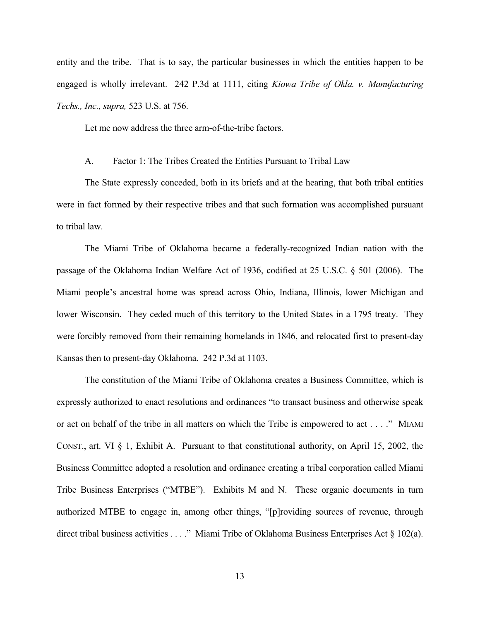entity and the tribe. That is to say, the particular businesses in which the entities happen to be engaged is wholly irrelevant. 242 P.3d at 1111, citing *Kiowa Tribe of Okla. v. Manufacturing Techs., Inc., supra,* 523 U.S. at 756.

Let me now address the three arm-of-the-tribe factors.

### A. Factor 1: The Tribes Created the Entities Pursuant to Tribal Law

 The State expressly conceded, both in its briefs and at the hearing, that both tribal entities were in fact formed by their respective tribes and that such formation was accomplished pursuant to tribal law.

 The Miami Tribe of Oklahoma became a federally-recognized Indian nation with the passage of the Oklahoma Indian Welfare Act of 1936, codified at 25 U.S.C. § 501 (2006). The Miami people's ancestral home was spread across Ohio, Indiana, Illinois, lower Michigan and lower Wisconsin. They ceded much of this territory to the United States in a 1795 treaty. They were forcibly removed from their remaining homelands in 1846, and relocated first to present-day Kansas then to present-day Oklahoma. 242 P.3d at 1103.

 The constitution of the Miami Tribe of Oklahoma creates a Business Committee, which is expressly authorized to enact resolutions and ordinances "to transact business and otherwise speak or act on behalf of the tribe in all matters on which the Tribe is empowered to act . . . ." MIAMI CONST., art. VI § 1, Exhibit A. Pursuant to that constitutional authority, on April 15, 2002, the Business Committee adopted a resolution and ordinance creating a tribal corporation called Miami Tribe Business Enterprises ("MTBE"). Exhibits M and N. These organic documents in turn authorized MTBE to engage in, among other things, "[p]roviding sources of revenue, through direct tribal business activities . . . ." Miami Tribe of Oklahoma Business Enterprises Act § 102(a).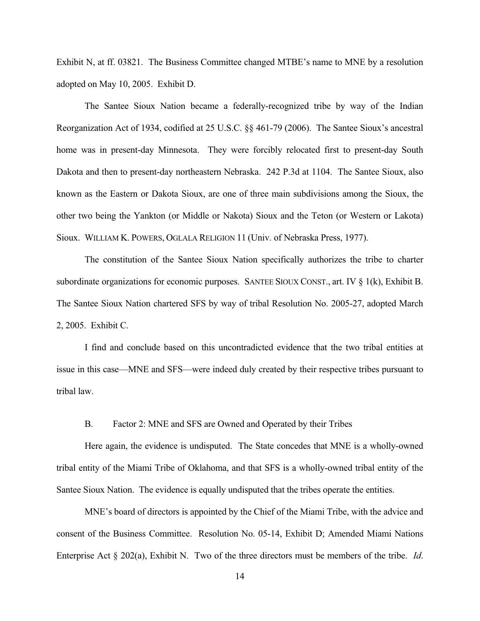Exhibit N, at ff. 03821. The Business Committee changed MTBE's name to MNE by a resolution adopted on May 10, 2005. Exhibit D.

 The Santee Sioux Nation became a federally-recognized tribe by way of the Indian Reorganization Act of 1934, codified at 25 U.S.C. §§ 461-79 (2006). The Santee Sioux's ancestral home was in present-day Minnesota. They were forcibly relocated first to present-day South Dakota and then to present-day northeastern Nebraska. 242 P.3d at 1104. The Santee Sioux, also known as the Eastern or Dakota Sioux, are one of three main subdivisions among the Sioux, the other two being the Yankton (or Middle or Nakota) Sioux and the Teton (or Western or Lakota) Sioux. WILLIAM K. POWERS, OGLALA RELIGION 11 (Univ. of Nebraska Press, 1977).

 The constitution of the Santee Sioux Nation specifically authorizes the tribe to charter subordinate organizations for economic purposes. SANTEE SIOUX CONST., art. IV  $\S$  1(k), Exhibit B. The Santee Sioux Nation chartered SFS by way of tribal Resolution No. 2005-27, adopted March 2, 2005. Exhibit C.

 I find and conclude based on this uncontradicted evidence that the two tribal entities at issue in this case—MNE and SFS—were indeed duly created by their respective tribes pursuant to tribal law.

B. Factor 2: MNE and SFS are Owned and Operated by their Tribes

 Here again, the evidence is undisputed. The State concedes that MNE is a wholly-owned tribal entity of the Miami Tribe of Oklahoma, and that SFS is a wholly-owned tribal entity of the Santee Sioux Nation. The evidence is equally undisputed that the tribes operate the entities.

 MNE's board of directors is appointed by the Chief of the Miami Tribe, with the advice and consent of the Business Committee. Resolution No. 05-14, Exhibit D; Amended Miami Nations Enterprise Act § 202(a), Exhibit N. Two of the three directors must be members of the tribe. *Id*.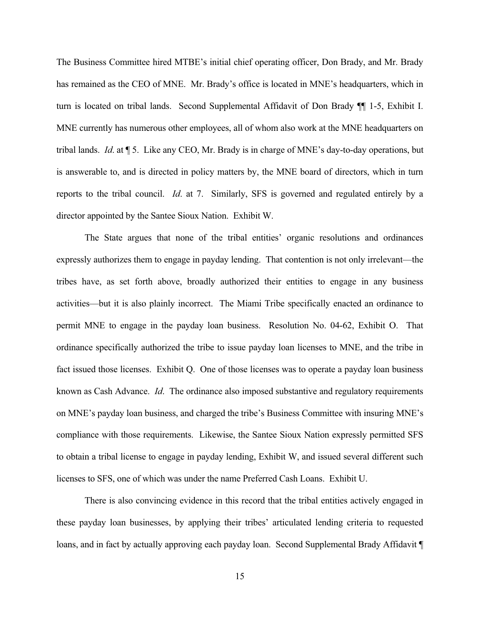The Business Committee hired MTBE's initial chief operating officer, Don Brady, and Mr. Brady has remained as the CEO of MNE. Mr. Brady's office is located in MNE's headquarters, which in turn is located on tribal lands. Second Supplemental Affidavit of Don Brady ¶¶ 1-5, Exhibit I. MNE currently has numerous other employees, all of whom also work at the MNE headquarters on tribal lands. *Id*. at ¶ 5. Like any CEO, Mr. Brady is in charge of MNE's day-to-day operations, but is answerable to, and is directed in policy matters by, the MNE board of directors, which in turn reports to the tribal council. *Id*. at 7. Similarly, SFS is governed and regulated entirely by a director appointed by the Santee Sioux Nation. Exhibit W.

 The State argues that none of the tribal entities' organic resolutions and ordinances expressly authorizes them to engage in payday lending. That contention is not only irrelevant—the tribes have, as set forth above, broadly authorized their entities to engage in any business activities—but it is also plainly incorrect. The Miami Tribe specifically enacted an ordinance to permit MNE to engage in the payday loan business. Resolution No. 04-62, Exhibit O. That ordinance specifically authorized the tribe to issue payday loan licenses to MNE, and the tribe in fact issued those licenses. Exhibit Q. One of those licenses was to operate a payday loan business known as Cash Advance. *Id*. The ordinance also imposed substantive and regulatory requirements on MNE's payday loan business, and charged the tribe's Business Committee with insuring MNE's compliance with those requirements. Likewise, the Santee Sioux Nation expressly permitted SFS to obtain a tribal license to engage in payday lending, Exhibit W, and issued several different such licenses to SFS, one of which was under the name Preferred Cash Loans. Exhibit U.

 There is also convincing evidence in this record that the tribal entities actively engaged in these payday loan businesses, by applying their tribes' articulated lending criteria to requested loans, and in fact by actually approving each payday loan. Second Supplemental Brady Affidavit ¶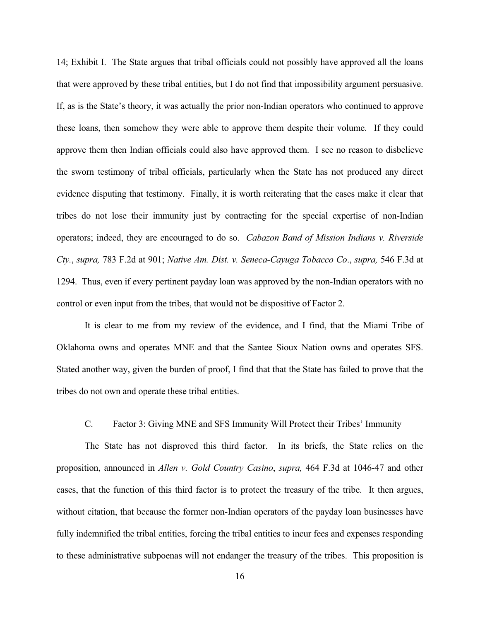14; Exhibit I. The State argues that tribal officials could not possibly have approved all the loans that were approved by these tribal entities, but I do not find that impossibility argument persuasive. If, as is the State's theory, it was actually the prior non-Indian operators who continued to approve these loans, then somehow they were able to approve them despite their volume. If they could approve them then Indian officials could also have approved them. I see no reason to disbelieve the sworn testimony of tribal officials, particularly when the State has not produced any direct evidence disputing that testimony. Finally, it is worth reiterating that the cases make it clear that tribes do not lose their immunity just by contracting for the special expertise of non-Indian operators; indeed, they are encouraged to do so. *Cabazon Band of Mission Indians v. Riverside Cty.*, *supra,* 783 F.2d at 901; *Native Am. Dist. v. Seneca-Cayuga Tobacco Co*., *supra,* 546 F.3d at 1294. Thus, even if every pertinent payday loan was approved by the non-Indian operators with no control or even input from the tribes, that would not be dispositive of Factor 2.

 It is clear to me from my review of the evidence, and I find, that the Miami Tribe of Oklahoma owns and operates MNE and that the Santee Sioux Nation owns and operates SFS. Stated another way, given the burden of proof, I find that that the State has failed to prove that the tribes do not own and operate these tribal entities.

# C. Factor 3: Giving MNE and SFS Immunity Will Protect their Tribes' Immunity

 The State has not disproved this third factor. In its briefs, the State relies on the proposition, announced in *Allen v. Gold Country Casino*, *supra,* 464 F.3d at 1046-47 and other cases, that the function of this third factor is to protect the treasury of the tribe. It then argues, without citation, that because the former non-Indian operators of the payday loan businesses have fully indemnified the tribal entities, forcing the tribal entities to incur fees and expenses responding to these administrative subpoenas will not endanger the treasury of the tribes. This proposition is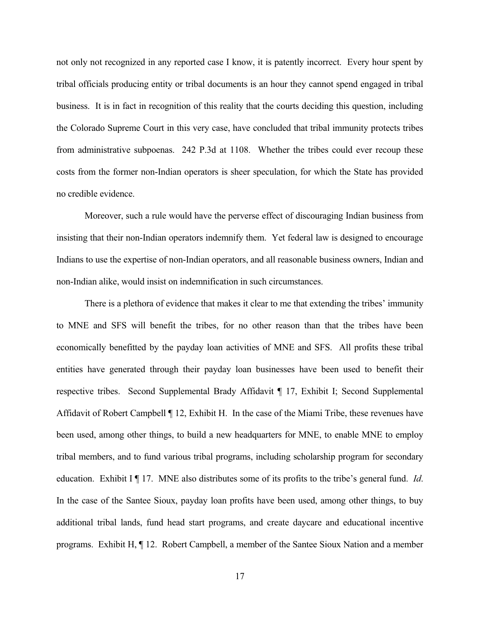not only not recognized in any reported case I know, it is patently incorrect. Every hour spent by tribal officials producing entity or tribal documents is an hour they cannot spend engaged in tribal business. It is in fact in recognition of this reality that the courts deciding this question, including the Colorado Supreme Court in this very case, have concluded that tribal immunity protects tribes from administrative subpoenas. 242 P.3d at 1108. Whether the tribes could ever recoup these costs from the former non-Indian operators is sheer speculation, for which the State has provided no credible evidence.

 Moreover, such a rule would have the perverse effect of discouraging Indian business from insisting that their non-Indian operators indemnify them. Yet federal law is designed to encourage Indians to use the expertise of non-Indian operators, and all reasonable business owners, Indian and non-Indian alike, would insist on indemnification in such circumstances.

 There is a plethora of evidence that makes it clear to me that extending the tribes' immunity to MNE and SFS will benefit the tribes, for no other reason than that the tribes have been economically benefitted by the payday loan activities of MNE and SFS. All profits these tribal entities have generated through their payday loan businesses have been used to benefit their respective tribes. Second Supplemental Brady Affidavit ¶ 17, Exhibit I; Second Supplemental Affidavit of Robert Campbell ¶ 12, Exhibit H. In the case of the Miami Tribe, these revenues have been used, among other things, to build a new headquarters for MNE, to enable MNE to employ tribal members, and to fund various tribal programs, including scholarship program for secondary education. Exhibit I ¶ 17. MNE also distributes some of its profits to the tribe's general fund. *Id*. In the case of the Santee Sioux, payday loan profits have been used, among other things, to buy additional tribal lands, fund head start programs, and create daycare and educational incentive programs. Exhibit H, ¶ 12. Robert Campbell, a member of the Santee Sioux Nation and a member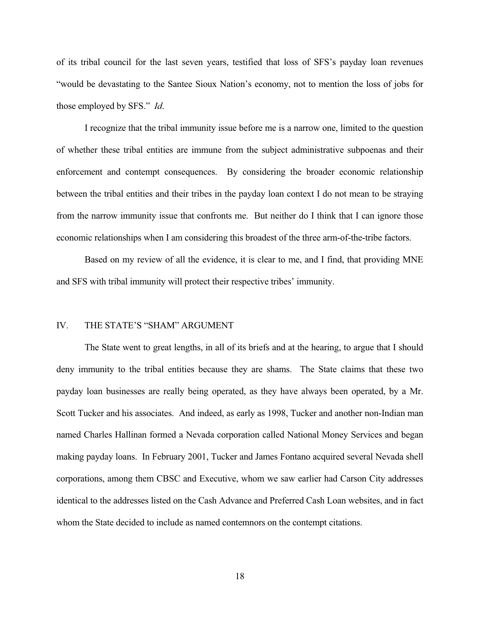of its tribal council for the last seven years, testified that loss of SFS's payday loan revenues "would be devastating to the Santee Sioux Nation's economy, not to mention the loss of jobs for those employed by SFS." *Id*.

 I recognize that the tribal immunity issue before me is a narrow one, limited to the question of whether these tribal entities are immune from the subject administrative subpoenas and their enforcement and contempt consequences. By considering the broader economic relationship between the tribal entities and their tribes in the payday loan context I do not mean to be straying from the narrow immunity issue that confronts me. But neither do I think that I can ignore those economic relationships when I am considering this broadest of the three arm-of-the-tribe factors.

 Based on my review of all the evidence, it is clear to me, and I find, that providing MNE and SFS with tribal immunity will protect their respective tribes' immunity.

# IV. THE STATE'S "SHAM" ARGUMENT

 The State went to great lengths, in all of its briefs and at the hearing, to argue that I should deny immunity to the tribal entities because they are shams. The State claims that these two payday loan businesses are really being operated, as they have always been operated, by a Mr. Scott Tucker and his associates. And indeed, as early as 1998, Tucker and another non-Indian man named Charles Hallinan formed a Nevada corporation called National Money Services and began making payday loans. In February 2001, Tucker and James Fontano acquired several Nevada shell corporations, among them CBSC and Executive, whom we saw earlier had Carson City addresses identical to the addresses listed on the Cash Advance and Preferred Cash Loan websites, and in fact whom the State decided to include as named contemnors on the contempt citations.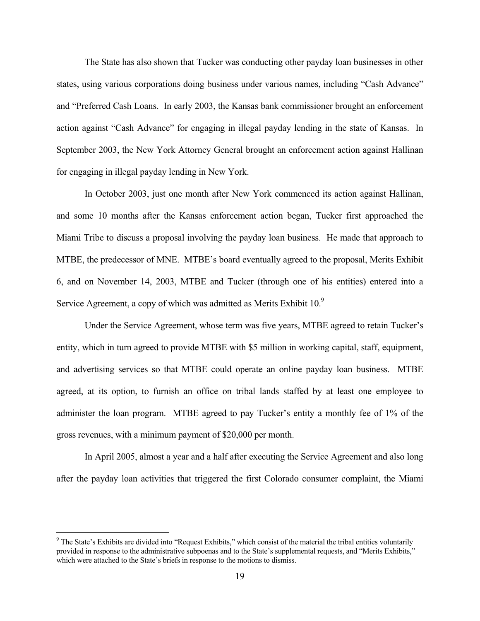The State has also shown that Tucker was conducting other payday loan businesses in other states, using various corporations doing business under various names, including "Cash Advance" and "Preferred Cash Loans. In early 2003, the Kansas bank commissioner brought an enforcement action against "Cash Advance" for engaging in illegal payday lending in the state of Kansas. In September 2003, the New York Attorney General brought an enforcement action against Hallinan for engaging in illegal payday lending in New York.

 In October 2003, just one month after New York commenced its action against Hallinan, and some 10 months after the Kansas enforcement action began, Tucker first approached the Miami Tribe to discuss a proposal involving the payday loan business. He made that approach to MTBE, the predecessor of MNE. MTBE's board eventually agreed to the proposal, Merits Exhibit 6, and on November 14, 2003, MTBE and Tucker (through one of his entities) entered into a Service Agreement, a copy of which was admitted as Merits Exhibit 10.<sup>9</sup>

 Under the Service Agreement, whose term was five years, MTBE agreed to retain Tucker's entity, which in turn agreed to provide MTBE with \$5 million in working capital, staff, equipment, and advertising services so that MTBE could operate an online payday loan business. MTBE agreed, at its option, to furnish an office on tribal lands staffed by at least one employee to administer the loan program. MTBE agreed to pay Tucker's entity a monthly fee of 1% of the gross revenues, with a minimum payment of \$20,000 per month.

 In April 2005, almost a year and a half after executing the Service Agreement and also long after the payday loan activities that triggered the first Colorado consumer complaint, the Miami

<sup>&</sup>lt;sup>9</sup> The State's Exhibits are divided into "Request Exhibits," which consist of the material the tribal entities voluntarily provided in response to the administrative subpoenas and to the State's supplemental requests, and "Merits Exhibits," which were attached to the State's briefs in response to the motions to dismiss.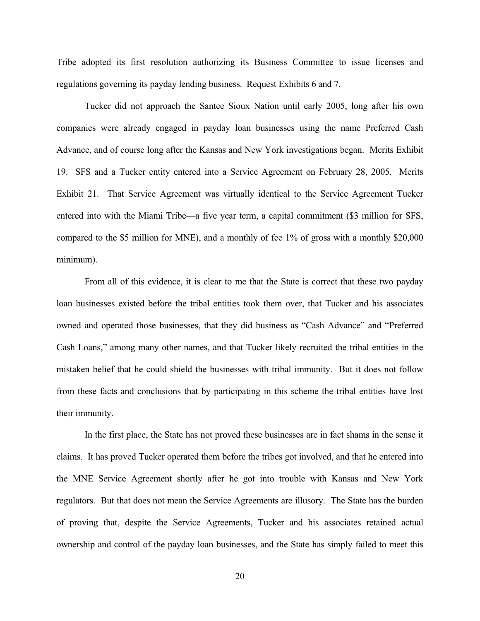Tribe adopted its first resolution authorizing its Business Committee to issue licenses and regulations governing its payday lending business. Request Exhibits 6 and 7.

 Tucker did not approach the Santee Sioux Nation until early 2005, long after his own companies were already engaged in payday loan businesses using the name Preferred Cash Advance, and of course long after the Kansas and New York investigations began. Merits Exhibit 19. SFS and a Tucker entity entered into a Service Agreement on February 28, 2005. Merits Exhibit 21. That Service Agreement was virtually identical to the Service Agreement Tucker entered into with the Miami Tribe—a five year term, a capital commitment (\$3 million for SFS, compared to the \$5 million for MNE), and a monthly of fee 1% of gross with a monthly \$20,000 minimum).

 From all of this evidence, it is clear to me that the State is correct that these two payday loan businesses existed before the tribal entities took them over, that Tucker and his associates owned and operated those businesses, that they did business as "Cash Advance" and "Preferred Cash Loans," among many other names, and that Tucker likely recruited the tribal entities in the mistaken belief that he could shield the businesses with tribal immunity. But it does not follow from these facts and conclusions that by participating in this scheme the tribal entities have lost their immunity.

 In the first place, the State has not proved these businesses are in fact shams in the sense it claims. It has proved Tucker operated them before the tribes got involved, and that he entered into the MNE Service Agreement shortly after he got into trouble with Kansas and New York regulators. But that does not mean the Service Agreements are illusory. The State has the burden of proving that, despite the Service Agreements, Tucker and his associates retained actual ownership and control of the payday loan businesses, and the State has simply failed to meet this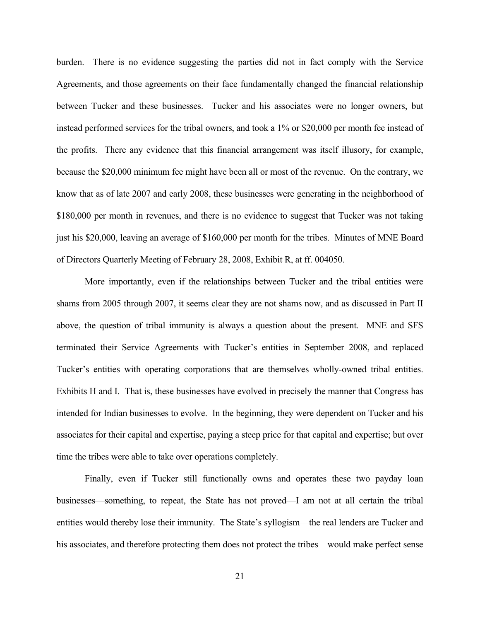burden. There is no evidence suggesting the parties did not in fact comply with the Service Agreements, and those agreements on their face fundamentally changed the financial relationship between Tucker and these businesses. Tucker and his associates were no longer owners, but instead performed services for the tribal owners, and took a 1% or \$20,000 per month fee instead of the profits. There any evidence that this financial arrangement was itself illusory, for example, because the \$20,000 minimum fee might have been all or most of the revenue. On the contrary, we know that as of late 2007 and early 2008, these businesses were generating in the neighborhood of \$180,000 per month in revenues, and there is no evidence to suggest that Tucker was not taking just his \$20,000, leaving an average of \$160,000 per month for the tribes. Minutes of MNE Board of Directors Quarterly Meeting of February 28, 2008, Exhibit R, at ff. 004050.

 More importantly, even if the relationships between Tucker and the tribal entities were shams from 2005 through 2007, it seems clear they are not shams now, and as discussed in Part II above, the question of tribal immunity is always a question about the present. MNE and SFS terminated their Service Agreements with Tucker's entities in September 2008, and replaced Tucker's entities with operating corporations that are themselves wholly-owned tribal entities. Exhibits H and I. That is, these businesses have evolved in precisely the manner that Congress has intended for Indian businesses to evolve. In the beginning, they were dependent on Tucker and his associates for their capital and expertise, paying a steep price for that capital and expertise; but over time the tribes were able to take over operations completely.

 Finally, even if Tucker still functionally owns and operates these two payday loan businesses—something, to repeat, the State has not proved—I am not at all certain the tribal entities would thereby lose their immunity. The State's syllogism—the real lenders are Tucker and his associates, and therefore protecting them does not protect the tribes—would make perfect sense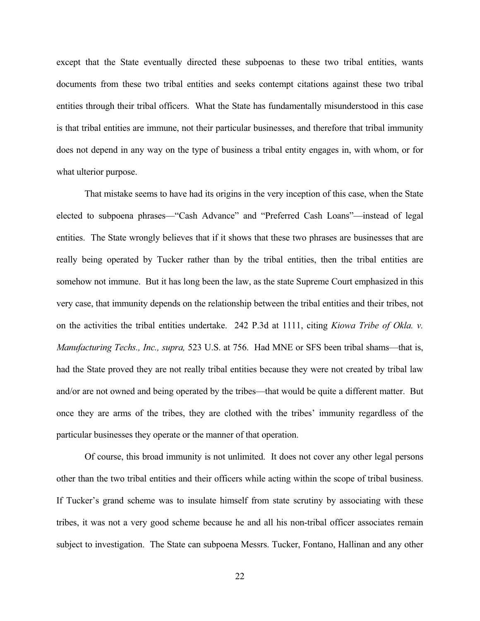except that the State eventually directed these subpoenas to these two tribal entities, wants documents from these two tribal entities and seeks contempt citations against these two tribal entities through their tribal officers. What the State has fundamentally misunderstood in this case is that tribal entities are immune, not their particular businesses, and therefore that tribal immunity does not depend in any way on the type of business a tribal entity engages in, with whom, or for what ulterior purpose.

 That mistake seems to have had its origins in the very inception of this case, when the State elected to subpoena phrases—"Cash Advance" and "Preferred Cash Loans"—instead of legal entities. The State wrongly believes that if it shows that these two phrases are businesses that are really being operated by Tucker rather than by the tribal entities, then the tribal entities are somehow not immune. But it has long been the law, as the state Supreme Court emphasized in this very case, that immunity depends on the relationship between the tribal entities and their tribes, not on the activities the tribal entities undertake. 242 P.3d at 1111, citing *Kiowa Tribe of Okla. v. Manufacturing Techs., Inc., supra,* 523 U.S. at 756. Had MNE or SFS been tribal shams—that is, had the State proved they are not really tribal entities because they were not created by tribal law and/or are not owned and being operated by the tribes—that would be quite a different matter. But once they are arms of the tribes, they are clothed with the tribes' immunity regardless of the particular businesses they operate or the manner of that operation.

 Of course, this broad immunity is not unlimited. It does not cover any other legal persons other than the two tribal entities and their officers while acting within the scope of tribal business. If Tucker's grand scheme was to insulate himself from state scrutiny by associating with these tribes, it was not a very good scheme because he and all his non-tribal officer associates remain subject to investigation. The State can subpoena Messrs. Tucker, Fontano, Hallinan and any other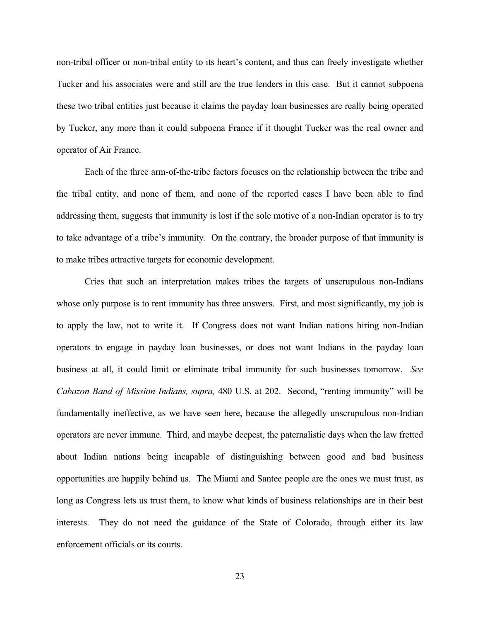non-tribal officer or non-tribal entity to its heart's content, and thus can freely investigate whether Tucker and his associates were and still are the true lenders in this case. But it cannot subpoena these two tribal entities just because it claims the payday loan businesses are really being operated by Tucker, any more than it could subpoena France if it thought Tucker was the real owner and operator of Air France.

 Each of the three arm-of-the-tribe factors focuses on the relationship between the tribe and the tribal entity, and none of them, and none of the reported cases I have been able to find addressing them, suggests that immunity is lost if the sole motive of a non-Indian operator is to try to take advantage of a tribe's immunity. On the contrary, the broader purpose of that immunity is to make tribes attractive targets for economic development.

 Cries that such an interpretation makes tribes the targets of unscrupulous non-Indians whose only purpose is to rent immunity has three answers. First, and most significantly, my job is to apply the law, not to write it. If Congress does not want Indian nations hiring non-Indian operators to engage in payday loan businesses, or does not want Indians in the payday loan business at all, it could limit or eliminate tribal immunity for such businesses tomorrow. *See Cabazon Band of Mission Indians, supra,* 480 U.S. at 202. Second, "renting immunity" will be fundamentally ineffective, as we have seen here, because the allegedly unscrupulous non-Indian operators are never immune. Third, and maybe deepest, the paternalistic days when the law fretted about Indian nations being incapable of distinguishing between good and bad business opportunities are happily behind us. The Miami and Santee people are the ones we must trust, as long as Congress lets us trust them, to know what kinds of business relationships are in their best interests. They do not need the guidance of the State of Colorado, through either its law enforcement officials or its courts.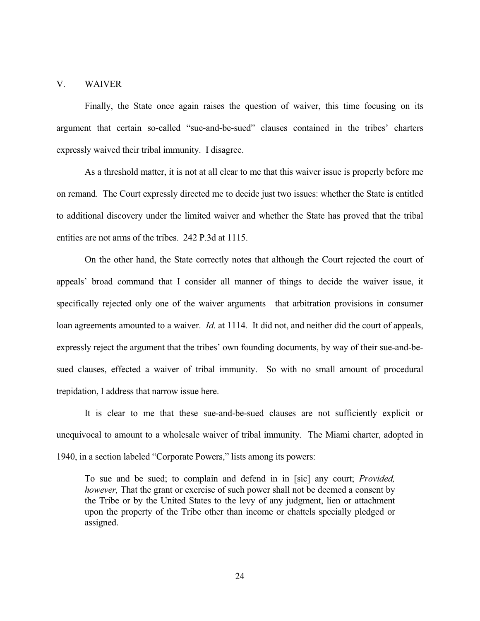### V. WAIVER

 Finally, the State once again raises the question of waiver, this time focusing on its argument that certain so-called "sue-and-be-sued" clauses contained in the tribes' charters expressly waived their tribal immunity. I disagree.

 As a threshold matter, it is not at all clear to me that this waiver issue is properly before me on remand. The Court expressly directed me to decide just two issues: whether the State is entitled to additional discovery under the limited waiver and whether the State has proved that the tribal entities are not arms of the tribes. 242 P.3d at 1115.

 On the other hand, the State correctly notes that although the Court rejected the court of appeals' broad command that I consider all manner of things to decide the waiver issue, it specifically rejected only one of the waiver arguments—that arbitration provisions in consumer loan agreements amounted to a waiver. *Id*. at 1114. It did not, and neither did the court of appeals, expressly reject the argument that the tribes' own founding documents, by way of their sue-and-besued clauses, effected a waiver of tribal immunity. So with no small amount of procedural trepidation, I address that narrow issue here.

 It is clear to me that these sue-and-be-sued clauses are not sufficiently explicit or unequivocal to amount to a wholesale waiver of tribal immunity. The Miami charter, adopted in 1940, in a section labeled "Corporate Powers," lists among its powers:

To sue and be sued; to complain and defend in in [sic] any court; *Provided, however,* That the grant or exercise of such power shall not be deemed a consent by the Tribe or by the United States to the levy of any judgment, lien or attachment upon the property of the Tribe other than income or chattels specially pledged or assigned.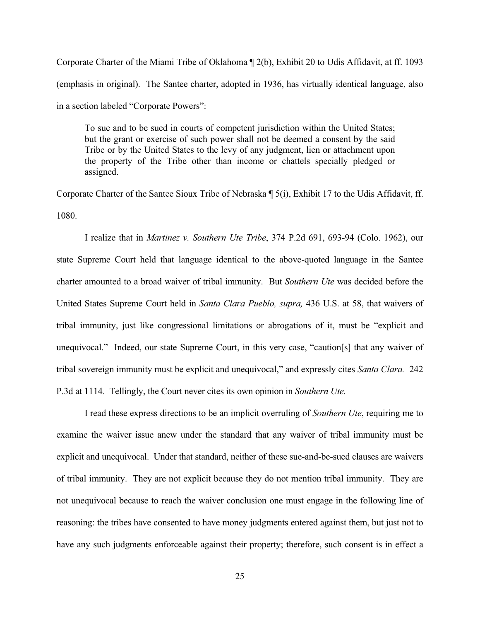Corporate Charter of the Miami Tribe of Oklahoma ¶ 2(b), Exhibit 20 to Udis Affidavit, at ff. 1093 (emphasis in original). The Santee charter, adopted in 1936, has virtually identical language, also in a section labeled "Corporate Powers":

To sue and to be sued in courts of competent jurisdiction within the United States; but the grant or exercise of such power shall not be deemed a consent by the said Tribe or by the United States to the levy of any judgment, lien or attachment upon the property of the Tribe other than income or chattels specially pledged or assigned.

Corporate Charter of the Santee Sioux Tribe of Nebraska ¶ 5(i), Exhibit 17 to the Udis Affidavit, ff. 1080.

 I realize that in *Martinez v. Southern Ute Tribe*, 374 P.2d 691, 693-94 (Colo. 1962), our state Supreme Court held that language identical to the above-quoted language in the Santee charter amounted to a broad waiver of tribal immunity. But *Southern Ute* was decided before the United States Supreme Court held in *Santa Clara Pueblo, supra,* 436 U.S. at 58, that waivers of tribal immunity, just like congressional limitations or abrogations of it, must be "explicit and unequivocal." Indeed, our state Supreme Court, in this very case, "caution[s] that any waiver of tribal sovereign immunity must be explicit and unequivocal," and expressly cites *Santa Clara.* 242 P.3d at 1114. Tellingly, the Court never cites its own opinion in *Southern Ute.* 

I read these express directions to be an implicit overruling of *Southern Ute*, requiring me to examine the waiver issue anew under the standard that any waiver of tribal immunity must be explicit and unequivocal. Under that standard, neither of these sue-and-be-sued clauses are waivers of tribal immunity. They are not explicit because they do not mention tribal immunity. They are not unequivocal because to reach the waiver conclusion one must engage in the following line of reasoning: the tribes have consented to have money judgments entered against them, but just not to have any such judgments enforceable against their property; therefore, such consent is in effect a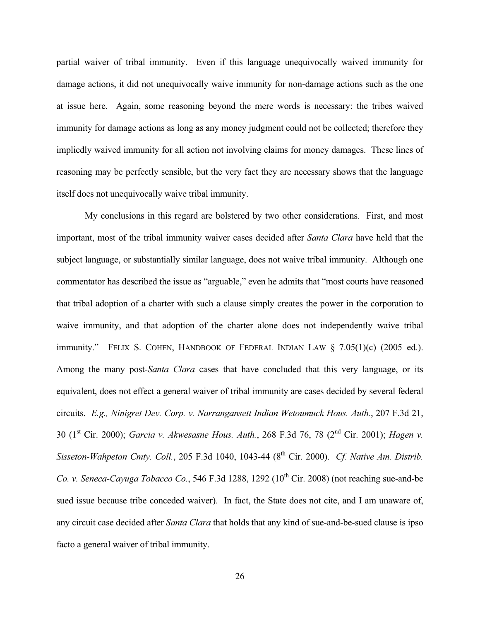partial waiver of tribal immunity. Even if this language unequivocally waived immunity for damage actions, it did not unequivocally waive immunity for non-damage actions such as the one at issue here. Again, some reasoning beyond the mere words is necessary: the tribes waived immunity for damage actions as long as any money judgment could not be collected; therefore they impliedly waived immunity for all action not involving claims for money damages. These lines of reasoning may be perfectly sensible, but the very fact they are necessary shows that the language itself does not unequivocally waive tribal immunity.

 My conclusions in this regard are bolstered by two other considerations. First, and most important, most of the tribal immunity waiver cases decided after *Santa Clara* have held that the subject language, or substantially similar language, does not waive tribal immunity. Although one commentator has described the issue as "arguable," even he admits that "most courts have reasoned that tribal adoption of a charter with such a clause simply creates the power in the corporation to waive immunity, and that adoption of the charter alone does not independently waive tribal immunity." FELIX S. COHEN, HANDBOOK OF FEDERAL INDIAN LAW  $\S$  7.05(1)(c) (2005 ed.). Among the many post-*Santa Clara* cases that have concluded that this very language, or its equivalent, does not effect a general waiver of tribal immunity are cases decided by several federal circuits. *E.g., Ninigret Dev. Corp. v. Narrangansett Indian Wetoumuck Hous. Auth.*, 207 F.3d 21, 30 (1st Cir. 2000); *Garcia v. Akwesasne Hous. Auth.*, 268 F.3d 76, 78 (2nd Cir. 2001); *Hagen v. Sisseton-Wahpeton Cmty. Coll.*, 205 F.3d 1040, 1043-44 (8th Cir. 2000). *Cf. Native Am. Distrib. Co. v. Seneca-Cayuga Tobacco Co.*, 546 F.3d 1288, 1292 (10<sup>th</sup> Cir. 2008) (not reaching sue-and-be sued issue because tribe conceded waiver). In fact, the State does not cite, and I am unaware of, any circuit case decided after *Santa Clara* that holds that any kind of sue-and-be-sued clause is ipso facto a general waiver of tribal immunity.